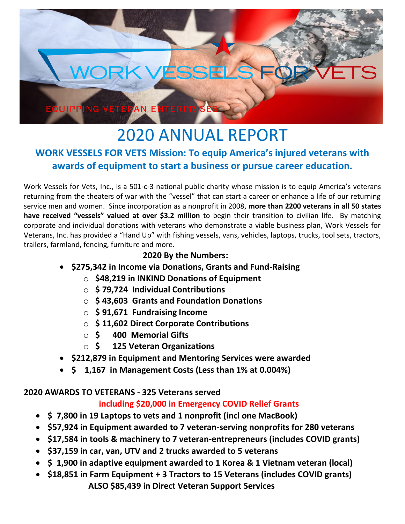

# 2020 ANNUAL REPORT **WORK VESSELS FOR VETS Mission: To equip America's injured veterans with awards of equipment to start a business or pursue career education.**

Work Vessels for Vets, Inc., is a 501-c-3 national public charity whose mission is to equip America's veterans returning from the theaters of war with the "vessel" that can start a career or enhance a life of our returning service men and women. Since incorporation as a nonprofit in 2008, **more than 2200 veterans in all 50 states have received "vessels" valued at over \$3.2 million** to begin their transition to civilian life. By matching corporate and individual donations with veterans who demonstrate a viable business plan, Work Vessels for Veterans, Inc. has provided a "Hand Up" with fishing vessels, vans, vehicles, laptops, trucks, tool sets, tractors, trailers, farmland, fencing, furniture and more.

### **2020 By the Numbers:**

- **\$275,342 in Income via Donations, Grants and Fund-Raising**
	- o **\$48,219 in INKIND Donations of Equipment**
	- o **\$ 79,724 Individual Contributions**
	- o **\$ 43,603 Grants and Foundation Donations**
	- o **\$ 91,671 Fundraising Income**
	- o **\$ 11,602 Direct Corporate Contributions**
	- o **\$ 400 Memorial Gifts**
	- o **\$ 125 Veteran Organizations**
- **\$212,879 in Equipment and Mentoring Services were awarded**
- **\$ 1,167 in Management Costs (Less than 1% at 0.004%)**

#### **2020 AWARDS TO VETERANS - 325 Veterans served**

# **including \$20,000 in Emergency COVID Relief Grants**

- **\$ 7,800 in 19 Laptops to vets and 1 nonprofit (incl one MacBook)**
- **\$57,924 in Equipment awarded to 7 veteran-serving nonprofits for 280 veterans**
- **\$17,584 in tools & machinery to 7 veteran-entrepreneurs (includes COVID grants)**
- **\$37,159 in car, van, UTV and 2 trucks awarded to 5 veterans**
- **\$ 1,900 in adaptive equipment awarded to 1 Korea & 1 Vietnam veteran (local)**
- **\$18,851 in Farm Equipment + 3 Tractors to 15 Veterans (includes COVID grants) ALSO \$85,439 in Direct Veteran Support Services**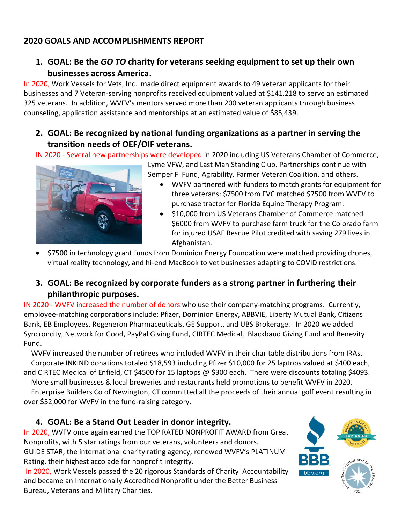# **2020 GOALS AND ACCOMPLISHMENTS REPORT**

**1. GOAL: Be the** *GO TO* **charity for veterans seeking equipment to set up their own businesses across America.**

In 2020, Work Vessels for Vets, Inc. made direct equipment awards to 49 veteran applicants for their businesses and 7 Veteran-serving nonprofits received equipment valued at \$141,218 to serve an estimated 325 veterans. In addition, WVFV's mentors served more than 200 veteran applicants through business counseling, application assistance and mentorships at an estimated value of \$85,439.

#### **2. GOAL: Be recognized by national funding organizations as a partner in serving the transition needs of OEF/OIF veterans.**

IN 2020 - Several new partnerships were developed in 2020 including US Veterans Chamber of Commerce,



Lyme VFW, and Last Man Standing Club. Partnerships continue with Semper Fi Fund, Agrability, Farmer Veteran Coalition, and others.

- WVFV partnered with funders to match grants for equipment for three veterans: \$7500 from FVC matched \$7500 from WVFV to purchase tractor for Florida Equine Therapy Program.
- \$10,000 from US Veterans Chamber of Commerce matched \$6000 from WVFV to purchase farm truck for the Colorado farm for injured USAF Rescue Pilot credited with saving 279 lives in Afghanistan.
- \$7500 in technology grant funds from Dominion Energy Foundation were matched providing drones, virtual reality technology, and hi-end MacBook to vet businesses adapting to COVID restrictions.
- **3. GOAL: Be recognized by corporate funders as a strong partner in furthering their philanthropic purposes.**

IN 2020 - WVFV increased the number of donors who use their company-matching programs. Currently, employee-matching corporations include: Pfizer, Dominion Energy, ABBVIE, Liberty Mutual Bank, Citizens Bank, EB Employees, Regeneron Pharmaceuticals, GE Support, and UBS Brokerage. In 2020 we added Syncroncity, Network for Good, PayPal Giving Fund, CIRTEC Medical, Blackbaud Giving Fund and Benevity Fund.

 WVFV increased the number of retirees who included WVFV in their charitable distributions from IRAs. Corporate INKIND donations totaled \$18,593 including Pfizer \$10,000 for 25 laptops valued at \$400 each, and CIRTEC Medical of Enfield, CT \$4500 for 15 laptops @ \$300 each. There were discounts totaling \$4093.

 More small businesses & local breweries and restaurants held promotions to benefit WVFV in 2020. Enterprise Builders Co of Newington, CT committed all the proceeds of their annual golf event resulting in over \$52,000 for WVFV in the fund-raising category.

#### **4. GOAL: Be a Stand Out Leader in donor integrity.**

In 2020, WVFV once again earned the TOP RATED NONPROFIT AWARD from Great Nonprofits, with 5 star ratings from our veterans, volunteers and donors. GUIDE STAR, the international charity rating agency, renewed WVFV's PLATINUM Rating, their highest accolade for nonprofit integrity.

In 2020, Work Vessels passed the 20 rigorous Standards of Charity Accountability and became an Internationally Accredited Nonprofit under the Better Business Bureau, Veterans and Military Charities.

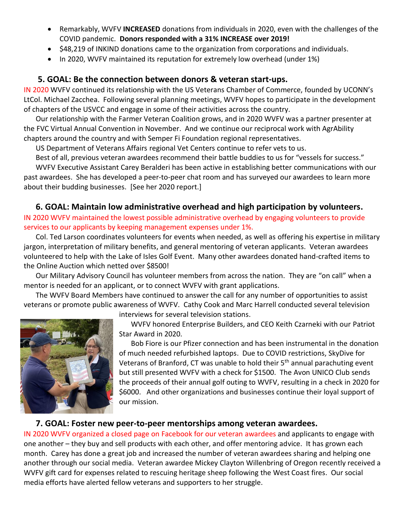- Remarkably, WVFV **INCREASED** donations from individuals in 2020, even with the challenges of the COVID pandemic. **Donors responded with a 31% INCREASE over 2019!**
- \$48,219 of INKIND donations came to the organization from corporations and individuals.
- In 2020, WVFV maintained its reputation for extremely low overhead (under 1%)

#### **5. GOAL: Be the connection between donors & veteran start-ups.**

IN 2020 WVFV continued its relationship with the US Veterans Chamber of Commerce, founded by UCONN's LtCol. Michael Zacchea. Following several planning meetings, WVFV hopes to participate in the development of chapters of the USVCC and engage in some of their activities across the country.

Our relationship with the Farmer Veteran Coalition grows, and in 2020 WVFV was a partner presenter at the FVC Virtual Annual Convention in November. And we continue our reciprocal work with AgrAbility chapters around the country and with Semper Fi Foundation regional representatives.

US Department of Veterans Affairs regional Vet Centers continue to refer vets to us.

Best of all, previous veteran awardees recommend their battle buddies to us for "vessels for success."

WVFV Executive Assistant Carey Beralderi has been active in establishing better communications with our past awardees. She has developed a peer-to-peer chat room and has surveyed our awardees to learn more about their budding businesses. [See her 2020 report.]

#### **6. GOAL: Maintain low administrative overhead and high participation by volunteers.**

IN 2020 WVFV maintained the lowest possible administrative overhead by engaging volunteers to provide services to our applicants by keeping management expenses under 1%.

Col. Ted Larson coordinates volunteers for events when needed, as well as offering his expertise in military jargon, interpretation of military benefits, and general mentoring of veteran applicants. Veteran awardees volunteered to help with the Lake of Isles Golf Event. Many other awardees donated hand-crafted items to the Online Auction which netted over \$8500!

Our Military Advisory Council has volunteer members from across the nation. They are "on call" when a mentor is needed for an applicant, or to connect WVFV with grant applications.

The WVFV Board Members have continued to answer the call for any number of opportunities to assist veterans or promote public awareness of WVFV. Cathy Cook and Marc Harrell conducted several television

interviews for several television stations.

WVFV honored Enterprise Builders, and CEO Keith Czarneki with our Patriot Star Award in 2020.

Bob Fiore is our Pfizer connection and has been instrumental in the donation of much needed refurbished laptops. Due to COVID restrictions, SkyDive for Veterans of Branford, CT was unable to hold their  $5<sup>th</sup>$  annual parachuting event but still presented WVFV with a check for \$1500. The Avon UNICO Club sends the proceeds of their annual golf outing to WVFV, resulting in a check in 2020 for \$6000. And other organizations and businesses continue their loyal support of our mission.

#### **7. GOAL: Foster new peer-to-peer mentorships among veteran awardees.**

IN 2020 WVFV organized a closed page on Facebook for our veteran awardees and applicants to engage with one another – they buy and sell products with each other, and offer mentoring advice. It has grown each month. Carey has done a great job and increased the number of veteran awardees sharing and helping one another through our social media. Veteran awardee Mickey Clayton Willenbring of Oregon recently received a WVFV gift card for expenses related to rescuing heritage sheep following the West Coast fires. Our social media efforts have alerted fellow veterans and supporters to her struggle.